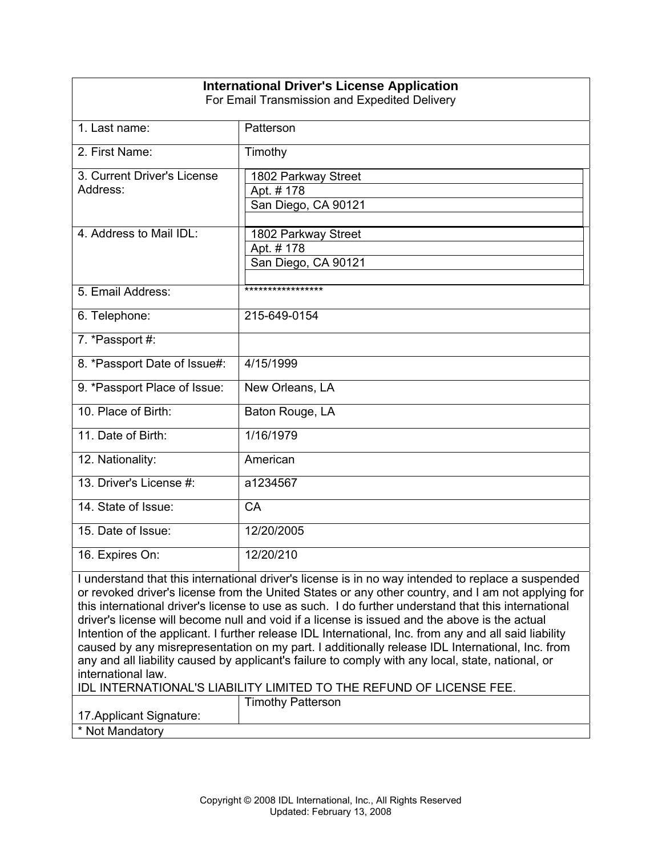| <b>International Driver's License Application</b><br>For Email Transmission and Expedited Delivery                                                                                                                                                                                                                                                                                                                                                                                                                                                                                                                                                                                                                                                                                                                             |                                                          |  |
|--------------------------------------------------------------------------------------------------------------------------------------------------------------------------------------------------------------------------------------------------------------------------------------------------------------------------------------------------------------------------------------------------------------------------------------------------------------------------------------------------------------------------------------------------------------------------------------------------------------------------------------------------------------------------------------------------------------------------------------------------------------------------------------------------------------------------------|----------------------------------------------------------|--|
| 1. Last name:                                                                                                                                                                                                                                                                                                                                                                                                                                                                                                                                                                                                                                                                                                                                                                                                                  | Patterson                                                |  |
| 2. First Name:                                                                                                                                                                                                                                                                                                                                                                                                                                                                                                                                                                                                                                                                                                                                                                                                                 | Timothy                                                  |  |
| 3. Current Driver's License<br>Address:                                                                                                                                                                                                                                                                                                                                                                                                                                                                                                                                                                                                                                                                                                                                                                                        | 1802 Parkway Street<br>Apt. # 178<br>San Diego, CA 90121 |  |
| 4. Address to Mail IDL:                                                                                                                                                                                                                                                                                                                                                                                                                                                                                                                                                                                                                                                                                                                                                                                                        | 1802 Parkway Street<br>Apt. # 178<br>San Diego, CA 90121 |  |
| 5. Email Address:                                                                                                                                                                                                                                                                                                                                                                                                                                                                                                                                                                                                                                                                                                                                                                                                              | *****************                                        |  |
| 6. Telephone:                                                                                                                                                                                                                                                                                                                                                                                                                                                                                                                                                                                                                                                                                                                                                                                                                  | 215-649-0154                                             |  |
| 7. *Passport #:                                                                                                                                                                                                                                                                                                                                                                                                                                                                                                                                                                                                                                                                                                                                                                                                                |                                                          |  |
| 8. *Passport Date of Issue#:                                                                                                                                                                                                                                                                                                                                                                                                                                                                                                                                                                                                                                                                                                                                                                                                   | 4/15/1999                                                |  |
| 9. *Passport Place of Issue:                                                                                                                                                                                                                                                                                                                                                                                                                                                                                                                                                                                                                                                                                                                                                                                                   | New Orleans, LA                                          |  |
| 10. Place of Birth:                                                                                                                                                                                                                                                                                                                                                                                                                                                                                                                                                                                                                                                                                                                                                                                                            | Baton Rouge, LA                                          |  |
| 11. Date of Birth:                                                                                                                                                                                                                                                                                                                                                                                                                                                                                                                                                                                                                                                                                                                                                                                                             | 1/16/1979                                                |  |
| 12. Nationality:                                                                                                                                                                                                                                                                                                                                                                                                                                                                                                                                                                                                                                                                                                                                                                                                               | American                                                 |  |
| 13. Driver's License #:                                                                                                                                                                                                                                                                                                                                                                                                                                                                                                                                                                                                                                                                                                                                                                                                        | a1234567                                                 |  |
| 14. State of Issue:                                                                                                                                                                                                                                                                                                                                                                                                                                                                                                                                                                                                                                                                                                                                                                                                            | <b>CA</b>                                                |  |
| 15. Date of Issue:                                                                                                                                                                                                                                                                                                                                                                                                                                                                                                                                                                                                                                                                                                                                                                                                             | 12/20/2005                                               |  |
| 16. Expires On:                                                                                                                                                                                                                                                                                                                                                                                                                                                                                                                                                                                                                                                                                                                                                                                                                | 12/20/210                                                |  |
| I understand that this international driver's license is in no way intended to replace a suspended<br>or revoked driver's license from the United States or any other country, and I am not applying for<br>this international driver's license to use as such. I do further understand that this international<br>driver's license will become null and void if a license is issued and the above is the actual<br>Intention of the applicant. I further release IDL International, Inc. from any and all said liability<br>caused by any misrepresentation on my part. I additionally release IDL International, Inc. from<br>any and all liability caused by applicant's failure to comply with any local, state, national, or<br>international law.<br>IDL INTERNATIONAL'S LIABILITY LIMITED TO THE REFUND OF LICENSE FEE. |                                                          |  |
| 17. Applicant Signature:                                                                                                                                                                                                                                                                                                                                                                                                                                                                                                                                                                                                                                                                                                                                                                                                       | <b>Timothy Patterson</b>                                 |  |
| * Not Mandatory                                                                                                                                                                                                                                                                                                                                                                                                                                                                                                                                                                                                                                                                                                                                                                                                                |                                                          |  |